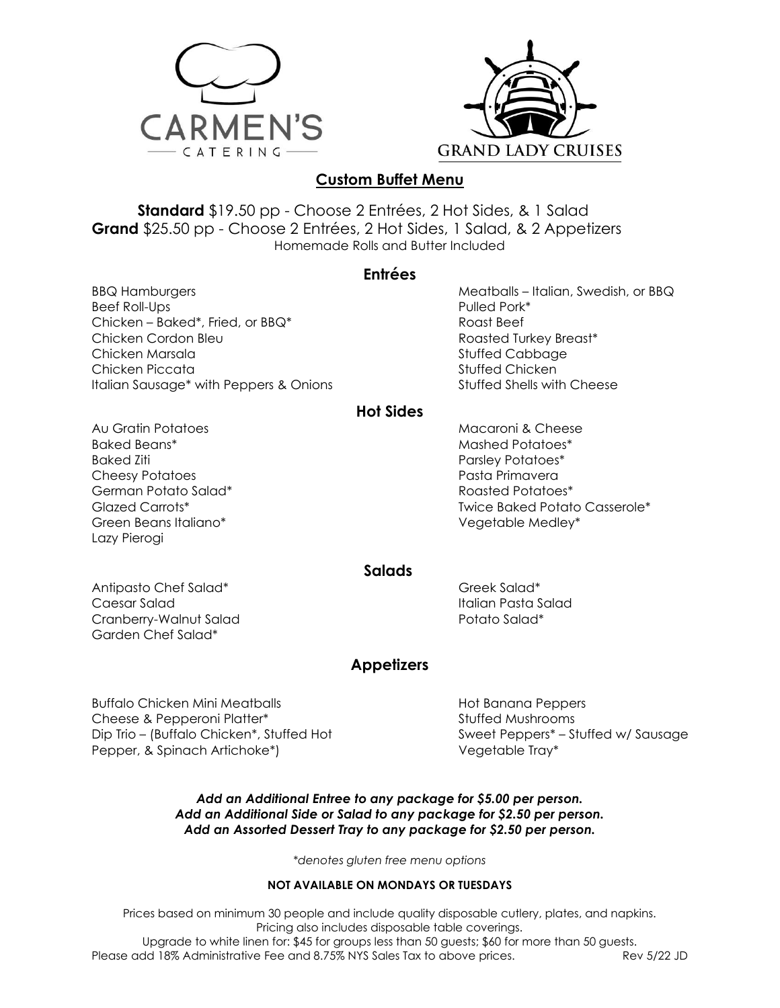



## **Custom Buffet Menu**

**Standard** \$19.50 pp - Choose 2 Entrées, 2 Hot Sides, & 1 Salad **Grand** \$25.50 pp - Choose 2 Entrées, 2 Hot Sides, 1 Salad, & 2 Appetizers Homemade Rolls and Butter Included

### **Entrées**

BBQ Hamburgers Beef Roll-Ups Chicken – Baked\*, Fried, or BBQ\* Chicken Cordon Bleu Chicken Marsala Chicken Piccata Italian Sausage\* with Peppers & Onions Meatballs – Italian, Swedish, or BBQ Pulled Pork\* Roast Beef Roasted Turkey Breast\* Stuffed Cabbage Stuffed Chicken Stuffed Shells with Cheese

## **Hot Sides**

Au Gratin Potatoes Baked Beans\* Baked Ziti Cheesy Potatoes German Potato Salad\* Glazed Carrots\* Green Beans Italiano\* Lazy Pierogi

Macaroni & Cheese Mashed Potatoes\* Parsley Potatoes\* Pasta Primavera Roasted Potatoes\* Twice Baked Potato Casserole\* Vegetable Medley\*

### **Salads**

Antipasto Chef Salad\* Caesar Salad Cranberry-Walnut Salad Garden Chef Salad\*

Greek Salad\* Italian Pasta Salad Potato Salad\*

## **Appetizers**

Buffalo Chicken Mini Meatballs Cheese & Pepperoni Platter\* Dip Trio – (Buffalo Chicken\*, Stuffed Hot Pepper, & Spinach Artichoke\*)

Hot Banana Peppers Stuffed Mushrooms Sweet Peppers\* – Stuffed w/ Sausage Vegetable Tray\*

#### *Add an Additional Entree to any package for \$5.00 per person. Add an Additional Side or Salad to any package for \$2.50 per person. Add an Assorted Dessert Tray to any package for \$2.50 per person.*

*\*denotes gluten free menu options*

#### **NOT AVAILABLE ON MONDAYS OR TUESDAYS**

Prices based on minimum 30 people and include quality disposable cutlery, plates, and napkins. Pricing also includes disposable table coverings. Upgrade to white linen for: \$45 for groups less than 50 guests; \$60 for more than 50 guests. Please add 18% Administrative Fee and 8.75% NYS Sales Tax to above prices. Rev 5/22 JD